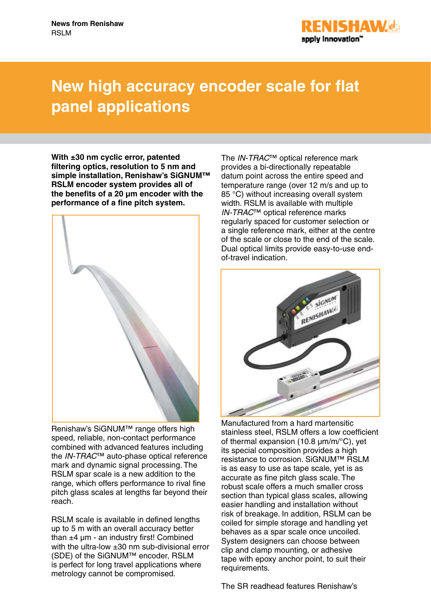

## **New high accuracy encoder scale for flat panel applications**

**With ±30 nm cyclic error, patented filtering optics, resolution to 5 nm and simple installation, Renishaw's SiGNUM™ RSLM encoder system provides all of the benefits of a 20 μm encoder with the performance of a fine pitch system.**



Renishaw's SiGNUM™ range offers high speed, reliable, non-contact performance combined with advanced features including the *IN-TRAC*™ auto-phase optical reference mark and dynamic signal processing. The RSLM spar scale is a new addition to the range, which offers performance to rival fine pitch glass scales at lengths far beyond their reach.

RSLM scale is available in defined lengths up to 5 m with an overall accuracy better than  $±4 \mu m -$  an industry first! Combined with the ultra-low  $\pm 30$  nm sub-divisional error (SDE) of the SiGNUM™ encoder, RSLM is perfect for long travel applications where metrology cannot be compromised.

The *IN-TRAC*™ optical reference mark provides a bi-directionally repeatable datum point across the entire speed and temperature range (over 12 m/s and up to 85 °C) without increasing overall system width. RSLM is available with multiple *IN-TRAC*™ optical reference marks regularly spaced for customer selection or a single reference mark, either at the centre of the scale or close to the end of the scale. Dual optical limits provide easy-to-use endof-travel indication.



Manufactured from a hard martensitic stainless steel, RSLM offers a low coefficient of thermal expansion (10.8 µm/m/°C), yet its special composition provides a high resistance to corrosion. SiGNUM™ RSLM is as easy to use as tape scale, yet is as accurate as fine pitch glass scale. The robust scale offers a much smaller cross section than typical glass scales, allowing easier handling and installation without risk of breakage. In addition, RSLM can be coiled for simple storage and handling yet behaves as a spar scale once uncoiled. System designers can choose between clip and clamp mounting, or adhesive tape with epoxy anchor point, to suit their requirements.

The SR readhead features Renishaw's